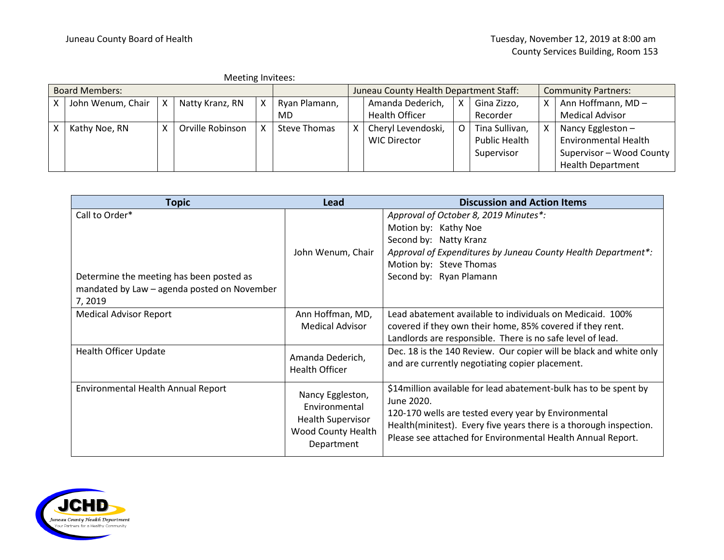| Meeting Invitees:     |                   |  |                  |  |               |                                        |                       |   |                      |                            |                             |
|-----------------------|-------------------|--|------------------|--|---------------|----------------------------------------|-----------------------|---|----------------------|----------------------------|-----------------------------|
| <b>Board Members:</b> |                   |  |                  |  |               | Juneau County Health Department Staff: |                       |   |                      | <b>Community Partners:</b> |                             |
|                       | John Wenum, Chair |  | Natty Kranz, RN  |  | Ryan Plamann, | Amanda Dederich,                       |                       | X | Gina Zizzo,          | x                          | Ann Hoffmann, MD-           |
|                       |                   |  |                  |  | MD            |                                        | <b>Health Officer</b> |   | Recorder             |                            | <b>Medical Advisor</b>      |
|                       | Kathy Noe, RN     |  | Orville Robinson |  | Steve Thomas  |                                        | Cheryl Levendoski,    | O | Tina Sullivan,       | x                          | Nancy Eggleston -           |
|                       |                   |  |                  |  |               |                                        | <b>WIC Director</b>   |   | <b>Public Health</b> |                            | <b>Environmental Health</b> |
|                       |                   |  |                  |  |               |                                        |                       |   | Supervisor           |                            | Supervisor - Wood County    |
|                       |                   |  |                  |  |               |                                        |                       |   |                      |                            | <b>Health Department</b>    |

| <b>Topic</b>                                                                                                        | Lead                                                                                                     | <b>Discussion and Action Items</b>                                                                                                                                                                                                                                           |
|---------------------------------------------------------------------------------------------------------------------|----------------------------------------------------------------------------------------------------------|------------------------------------------------------------------------------------------------------------------------------------------------------------------------------------------------------------------------------------------------------------------------------|
| Call to Order*<br>Determine the meeting has been posted as<br>mandated by Law - agenda posted on November<br>7,2019 | John Wenum, Chair                                                                                        | Approval of October 8, 2019 Minutes*:<br>Motion by: Kathy Noe<br>Second by: Natty Kranz<br>Approval of Expenditures by Juneau County Health Department*:<br>Motion by: Steve Thomas<br>Second by: Ryan Plamann                                                               |
| <b>Medical Advisor Report</b>                                                                                       | Ann Hoffman, MD,<br><b>Medical Advisor</b>                                                               | Lead abatement available to individuals on Medicaid. 100%<br>covered if they own their home, 85% covered if they rent.<br>Landlords are responsible. There is no safe level of lead.                                                                                         |
| <b>Health Officer Update</b>                                                                                        | Amanda Dederich,<br><b>Health Officer</b>                                                                | Dec. 18 is the 140 Review. Our copier will be black and white only<br>and are currently negotiating copier placement.                                                                                                                                                        |
| <b>Environmental Health Annual Report</b>                                                                           | Nancy Eggleston,<br>Environmental<br><b>Health Supervisor</b><br><b>Wood County Health</b><br>Department | \$14 million available for lead abatement-bulk has to be spent by<br>June 2020.<br>120-170 wells are tested every year by Environmental<br>Health(minitest). Every five years there is a thorough inspection.<br>Please see attached for Environmental Health Annual Report. |

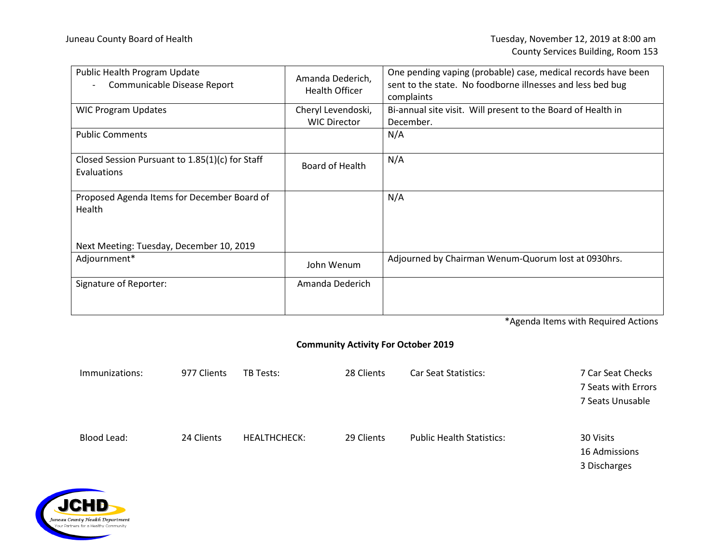| Public Health Program Update<br>Communicable Disease Report           | Amanda Dederich,<br>Health Officer        | One pending vaping (probable) case, medical records have been<br>sent to the state. No foodborne illnesses and less bed bug<br>complaints |  |  |  |
|-----------------------------------------------------------------------|-------------------------------------------|-------------------------------------------------------------------------------------------------------------------------------------------|--|--|--|
| <b>WIC Program Updates</b>                                            | Cheryl Levendoski,<br><b>WIC Director</b> | Bi-annual site visit. Will present to the Board of Health in<br>December.                                                                 |  |  |  |
| <b>Public Comments</b>                                                |                                           | N/A                                                                                                                                       |  |  |  |
| Closed Session Pursuant to 1.85(1)(c) for Staff<br><b>Evaluations</b> | Board of Health                           | N/A                                                                                                                                       |  |  |  |
| Proposed Agenda Items for December Board of<br>Health                 |                                           | N/A                                                                                                                                       |  |  |  |
| Next Meeting: Tuesday, December 10, 2019                              |                                           |                                                                                                                                           |  |  |  |
| Adjournment*                                                          | John Wenum                                | Adjourned by Chairman Wenum-Quorum lost at 0930hrs.                                                                                       |  |  |  |
| Signature of Reporter:                                                | Amanda Dederich                           |                                                                                                                                           |  |  |  |

\*Agenda Items with Required Actions

## **Community Activity For October 2019**

| Immunizations: | 977 Clients | <b>TB Tests:</b>    | 28 Clients | <b>Car Seat Statistics:</b>      | 7 Car Seat Checks   |
|----------------|-------------|---------------------|------------|----------------------------------|---------------------|
|                |             |                     |            |                                  | 7 Seats with Errors |
|                |             |                     |            |                                  | 7 Seats Unusable    |
|                |             |                     |            |                                  |                     |
| Blood Lead:    | 24 Clients  | <b>HEALTHCHECK:</b> | 29 Clients | <b>Public Health Statistics:</b> | 30 Visits           |
|                |             |                     |            |                                  | 16 Admissions       |
|                |             |                     |            |                                  | 3 Discharges        |